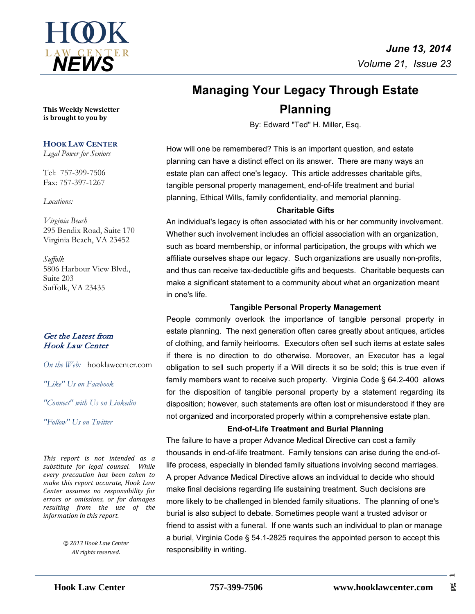

# **Managing Your Legacy Through Estate Planning**

By: Edward "Ted" H. Miller, Esq.

How will one be remembered? This is an important question, and estate planning can have a distinct effect on its answer. There are many ways an estate plan can affect one's legacy. This article addresses charitable gifts, tangible personal property management, end-of-life treatment and burial planning, Ethical Wills, family confidentiality, and memorial planning.

#### **Charitable Gifts**

An individual's legacy is often associated with his or her community involvement. Whether such involvement includes an official association with an organization, such as board membership, or informal participation, the groups with which we affiliate ourselves shape our legacy. Such organizations are usually non-profits, and thus can receive tax-deductible gifts and bequests. Charitable bequests can make a significant statement to a community about what an organization meant in one's life.

#### **Tangible Personal Property Management**

People commonly overlook the importance of tangible personal property in estate planning. The next generation often cares greatly about antiques, articles of clothing, and family heirlooms. Executors often sell such items at estate sales if there is no direction to do otherwise. Moreover, an Executor has a legal obligation to sell such property if a Will directs it so be sold; this is true even if family members want to receive such property. Virginia Code § 64.2-400 allows for the disposition of tangible personal property by a statement regarding its disposition; however, such statements are often lost or misunderstood if they are not organized and incorporated properly within a comprehensive estate plan.

#### **End-of-Life Treatment and Burial Planning**

The failure to have a proper Advance Medical Directive can cost a family thousands in end-of-life treatment. Family tensions can arise during the end-oflife process, especially in blended family situations involving second marriages. A proper Advance Medical Directive allows an individual to decide who should make final decisions regarding life sustaining treatment. Such decisions are more likely to be challenged in blended family situations. The planning of one's burial is also subject to debate. Sometimes people want a trusted advisor or friend to assist with a funeral. If one wants such an individual to plan or manage a burial, Virginia Code § 54.1-2825 requires the appointed person to accept this responsibility in writing.

**This Weekly Newsletter is brought to you by** 

#### **HOOK LAW CENTER**

*Legal Power for Seniors*

Tel: 757-399-7506 Fax: 757-397-1267

#### *Locations:*

*Virginia Beach* 295 Bendix Road, Suite 170 Virginia Beach, VA 23452

*Suffolk* 5806 Harbour View Blvd., Suite 203 Suffolk, VA 23435

### Get the Latest from Hook Law Center

*On the Web:* [hooklawcenter.com](http://www.hooklawcenter.com/)

*"Like" Us on Facebook*

*"Connect" with Us on Linkedin*

*Follow*" Us on Ti *"Follow" Us on Twitter*

*This report is not intended as a substitute for legal counsel. While every precaution has been taken to make this report accurate, Hook Law Center assumes no responsibility for errors or omissions, or for damages resulting from the use of the information in this report.*

> *© 2013 Hook Law Center All rights reserved.*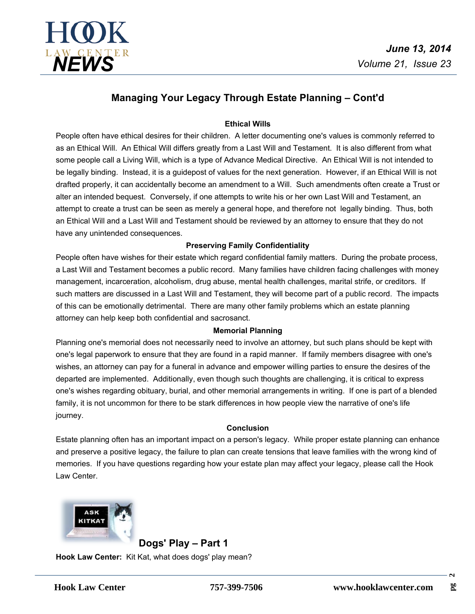



# **Managing Your Legacy Through Estate Planning – Cont'd**

#### **Ethical Wills**

People often have ethical desires for their children. A letter documenting one's values is commonly referred to as an Ethical Will. An Ethical Will differs greatly from a Last Will and Testament. It is also different from what some people call a Living Will, which is a type of Advance Medical Directive. An Ethical Will is not intended to be legally binding. Instead, it is a guidepost of values for the next generation. However, if an Ethical Will is not drafted properly, it can accidentally become an amendment to a Will. Such amendments often create a Trust or alter an intended bequest. Conversely, if one attempts to write his or her own Last Will and Testament, an attempt to create a trust can be seen as merely a general hope, and therefore not legally binding. Thus, both an Ethical Will and a Last Will and Testament should be reviewed by an attorney to ensure that they do not have any unintended consequences.

#### **Preserving Family Confidentiality**

People often have wishes for their estate which regard confidential family matters. During the probate process, a Last Will and Testament becomes a public record. Many families have children facing challenges with money management, incarceration, alcoholism, drug abuse, mental health challenges, marital strife, or creditors. If such matters are discussed in a Last Will and Testament, they will become part of a public record. The impacts of this can be emotionally detrimental. There are many other family problems which an estate planning attorney can help keep both confidential and sacrosanct.

#### **Memorial Planning**

Planning one's memorial does not necessarily need to involve an attorney, but such plans should be kept with one's legal paperwork to ensure that they are found in a rapid manner. If family members disagree with one's wishes, an attorney can pay for a funeral in advance and empower willing parties to ensure the desires of the departed are implemented. Additionally, even though such thoughts are challenging, it is critical to express one's wishes regarding obituary, burial, and other memorial arrangements in writing. If one is part of a blended family, it is not uncommon for there to be stark differences in how people view the narrative of one's life journey.

#### **Conclusion**

Estate planning often has an important impact on a person's legacy. While proper estate planning can enhance and preserve a positive legacy, the failure to plan can create tensions that leave families with the wrong kind of memories. If you have questions regarding how your estate plan may affect your legacy, please call the Hook Law Center.



**Dogs' Play – Part 1 Hook Law Center:** Kit Kat, what does dogs' play mean?

 $\sim$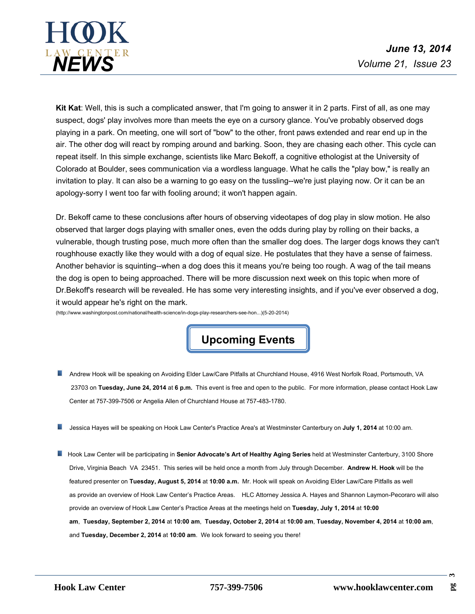

**Kit Kat**: Well, this is such a complicated answer, that I'm going to answer it in 2 parts. First of all, as one may suspect, dogs' play involves more than meets the eye on a cursory glance. You've probably observed dogs playing in a park. On meeting, one will sort of "bow" to the other, front paws extended and rear end up in the air. The other dog will react by romping around and barking. Soon, they are chasing each other. This cycle can repeat itself. In this simple exchange, scientists like Marc Bekoff, a cognitive ethologist at the University of Colorado at Boulder, sees communication via a wordless language. What he calls the "play bow," is really an invitation to play. It can also be a warning to go easy on the tussling--we're just playing now. Or it can be an apology-sorry I went too far with fooling around; it won't happen again.

Dr. Bekoff came to these conclusions after hours of observing videotapes of dog play in slow motion. He also observed that larger dogs playing with smaller ones, even the odds during play by rolling on their backs, a vulnerable, though trusting pose, much more often than the smaller dog does. The larger dogs knows they can't roughhouse exactly like they would with a dog of equal size. He postulates that they have a sense of fairness. Another behavior is squinting--when a dog does this it means you're being too rough. A wag of the tail means the dog is open to being approached. There will be more discussion next week on this topic when more of Dr.Bekoff's research will be revealed. He has some very interesting insights, and if you've ever observed a dog, it would appear he's right on the mark.

(http://www.washingtonpost.com/national/health-science/in-dogs-play-researchers-see-hon...)(5-20-2014)

**Upcoming Events**

- Andrew Hook will be speaking on Avoiding Elder Law/Care Pitfalls at Churchland House, 4916 West Norfolk Road, Portsmouth, VA 23703 on **Tuesday, June 24, 2014**at**6 p.m.** This event is free and open to the public. For more information, please contact Hook Law Center at 757-399-7506 or Angelia Allen of Churchland House at 757-483-1780.
- **Jessica Hayes will be speaking on Hook Law Center's Practice Area's at Westminster Canterbury on July 1, 2014 at 10:00 am.**
- **H** Hook Law Center will be participating in Senior Advocate's Art of Healthy Aging Series held at Westminster Canterbury, 3100 Shore Drive, Virginia Beach VA 23451. This series will be held once a month from July through December. **Andrew H. Hook** will be the featured presenter on **Tuesday, August 5, 2014**at**10:00 a.m.** Mr. Hook will speak on Avoiding Elder Law/Care Pitfalls as well as provide an overview of Hook Law Center's Practice Areas. HLC Attorney Jessica A. Hayes and [Shannon Laymon-Pecoraro](http://www.hooklawcenter.com/our-firm/shannon-laymon-pecoraro/) will also provide an overview of Hook Law Center's Practice Areas at the meetings held on **Tuesday,July 1, 2014** at**10:00 am**, **Tuesday, September 2, 2014** at**10:00 am**, **Tuesday, October 2, 2014**at**10:00 am**, **Tuesday, November 4, 2014** at**10:00 am**, and **Tuesday, December 2, 2014**at**10:00 am**. We look forward to seeing you there!

**3**